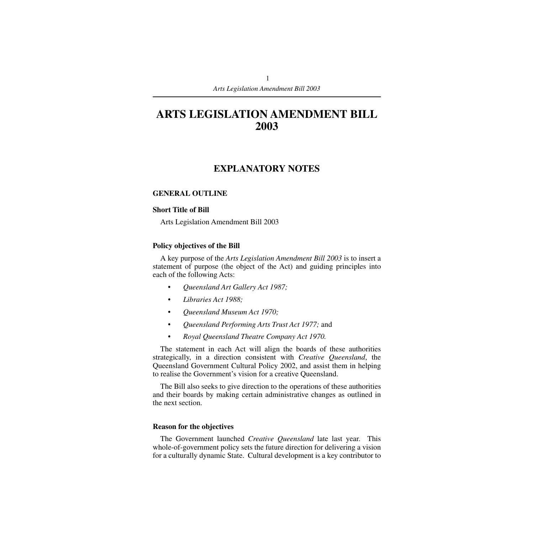# **ARTS LEGISLATION AMENDMENT BILL 2003**

# **EXPLANATORY NOTES**

### **GENERAL OUTLINE**

#### **Short Title of Bill**

Arts Legislation Amendment Bill 2003

### **Policy objectives of the Bill**

A key purpose of the *Arts Legislation Amendment Bill 2003* is to insert a statement of purpose (the object of the Act) and guiding principles into each of the following Acts:

- *Queensland Art Gallery Act 1987;*
- *Libraries Act 1988;*
- *Queensland Museum Act 1970;*
- *Queensland Performing Arts Trust Act 1977;* and
- *Royal Queensland Theatre Company Act 1970.*

The statement in each Act will align the boards of these authorities strategically, in a direction consistent with *Creative Queensland*, the Queensland Government Cultural Policy 2002, and assist them in helping to realise the Government's vision for a creative Queensland.

The Bill also seeks to give direction to the operations of these authorities and their boards by making certain administrative changes as outlined in the next section.

### **Reason for the objectives**

The Government launched *Creative Queensland* late last year. This whole-of-government policy sets the future direction for delivering a vision for a culturally dynamic State. Cultural development is a key contributor to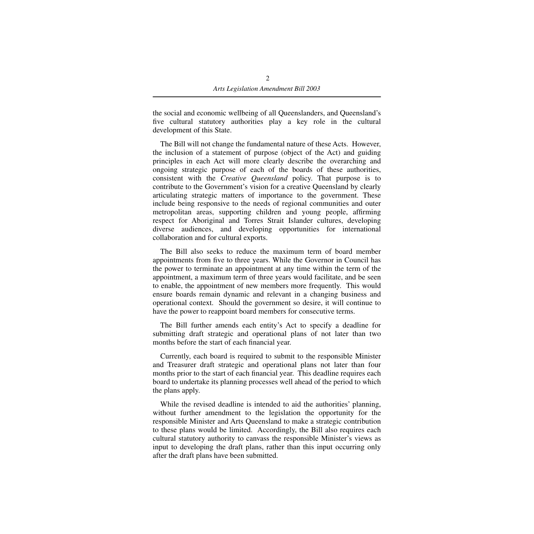the social and economic wellbeing of all Queenslanders, and Queensland's five cultural statutory authorities play a key role in the cultural development of this State.

The Bill will not change the fundamental nature of these Acts. However, the inclusion of a statement of purpose (object of the Act) and guiding principles in each Act will more clearly describe the overarching and ongoing strategic purpose of each of the boards of these authorities, consistent with the *Creative Queensland* policy. That purpose is to contribute to the Government's vision for a creative Queensland by clearly articulating strategic matters of importance to the government. These include being responsive to the needs of regional communities and outer metropolitan areas, supporting children and young people, affirming respect for Aboriginal and Torres Strait Islander cultures, developing diverse audiences, and developing opportunities for international collaboration and for cultural exports.

The Bill also seeks to reduce the maximum term of board member appointments from five to three years. While the Governor in Council has the power to terminate an appointment at any time within the term of the appointment, a maximum term of three years would facilitate, and be seen to enable, the appointment of new members more frequently. This would ensure boards remain dynamic and relevant in a changing business and operational context. Should the government so desire, it will continue to have the power to reappoint board members for consecutive terms.

The Bill further amends each entity's Act to specify a deadline for submitting draft strategic and operational plans of not later than two months before the start of each financial year.

Currently, each board is required to submit to the responsible Minister and Treasurer draft strategic and operational plans not later than four months prior to the start of each financial year. This deadline requires each board to undertake its planning processes well ahead of the period to which the plans apply.

While the revised deadline is intended to aid the authorities' planning, without further amendment to the legislation the opportunity for the responsible Minister and Arts Queensland to make a strategic contribution to these plans would be limited. Accordingly, the Bill also requires each cultural statutory authority to canvass the responsible Minister's views as input to developing the draft plans, rather than this input occurring only after the draft plans have been submitted.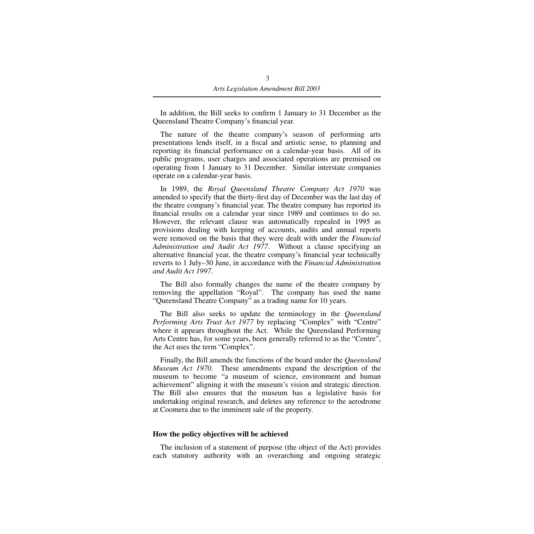In addition, the Bill seeks to confirm 1 January to 31 December as the Queensland Theatre Company's financial year.

The nature of the theatre company's season of performing arts presentations lends itself, in a fiscal and artistic sense, to planning and reporting its financial performance on a calendar-year basis. All of its public programs, user charges and associated operations are premised on operating from 1 January to 31 December. Similar interstate companies operate on a calendar-year basis.

In 1989, the *Royal Queensland Theatre Company Act 1970* was amended to specify that the thirty-first day of December was the last day of the theatre company's financial year. The theatre company has reported its financial results on a calendar year since 1989 and continues to do so. However, the relevant clause was automatically repealed in 1995 as provisions dealing with keeping of accounts, audits and annual reports were removed on the basis that they were dealt with under the *Financial Administration and Audit Act 1977*. Without a clause specifying an alternative financial year, the theatre company's financial year technically reverts to 1 July–30 June, in accordance with the *Financial Administration and Audit Act 1997.*

The Bill also formally changes the name of the theatre company by removing the appellation "Royal". The company has used the name "Queensland Theatre Company" as a trading name for 10 years.

The Bill also seeks to update the terminology in the *Queensland Performing Arts Trust Act 1977* by replacing "Complex" with "Centre" where it appears throughout the Act. While the Queensland Performing Arts Centre has, for some years, been generally referred to as the "Centre", the Act uses the term "Complex".

Finally, the Bill amends the functions of the board under the *Queensland Museum Act 1970*. These amendments expand the description of the museum to become "a museum of science, environment and human achievement" aligning it with the museum's vision and strategic direction. The Bill also ensures that the museum has a legislative basis for undertaking original research, and deletes any reference to the aerodrome at Coomera due to the imminent sale of the property.

### **How the policy objectives will be achieved**

The inclusion of a statement of purpose (the object of the Act) provides each statutory authority with an overarching and ongoing strategic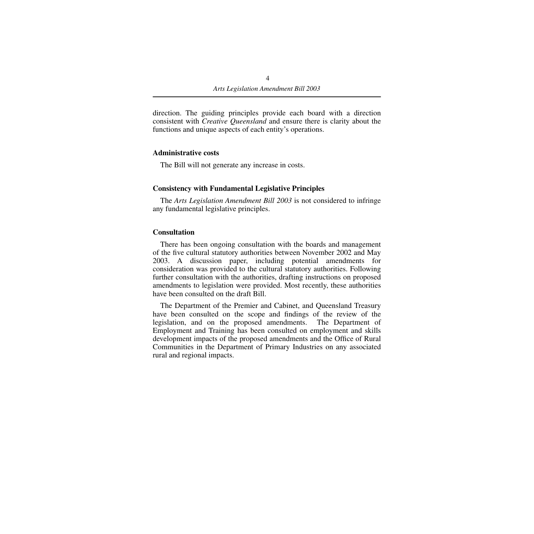direction. The guiding principles provide each board with a direction consistent with *Creative Queensland* and ensure there is clarity about the functions and unique aspects of each entity's operations.

#### **Administrative costs**

The Bill will not generate any increase in costs.

#### **Consistency with Fundamental Legislative Principles**

The *Arts Legislation Amendment Bill 2003* is not considered to infringe any fundamental legislative principles.

#### **Consultation**

There has been ongoing consultation with the boards and management of the five cultural statutory authorities between November 2002 and May 2003. A discussion paper, including potential amendments for consideration was provided to the cultural statutory authorities. Following further consultation with the authorities, drafting instructions on proposed amendments to legislation were provided. Most recently, these authorities have been consulted on the draft Bill.

The Department of the Premier and Cabinet, and Queensland Treasury have been consulted on the scope and findings of the review of the legislation, and on the proposed amendments. The Department of Employment and Training has been consulted on employment and skills development impacts of the proposed amendments and the Office of Rural Communities in the Department of Primary Industries on any associated rural and regional impacts.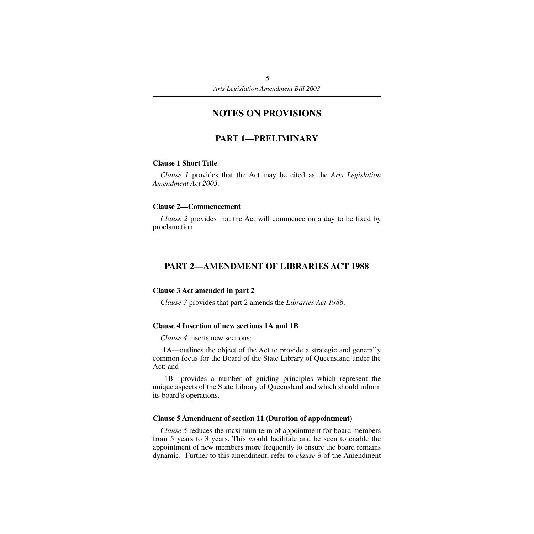# **NOTES ON PROVISIONS**

# **PART 1—PRELIMINARY**

#### **Clause 1 Short Title**

*Clause 1* provides that the Act may be cited as the *Arts Legislation Amendment Act 2003.*

#### **Clause 2—Commencement**

*Clause 2* provides that the Act will commence on a day to be fixed by proclamation.

### **PART 2—AMENDMENT OF LIBRARIES ACT 1988**

#### **Clause 3 Act amended in part 2**

*Clause 3* provides that part 2 amends the *Libraries Act 1988*.

#### **Clause 4 Insertion of new sections 1A and 1B**

*Clause 4* inserts new sections:

 1A—outlines the object of the Act to provide a strategic and generally common focus for the Board of the State Library of Queensland under the Act; and

 1B—provides a number of guiding principles which represent the unique aspects of the State Library of Queensland and which should inform its board's operations.

#### **Clause 5 Amendment of section 11 (Duration of appointment)**

*Clause 5* reduces the maximum term of appointment for board members from 5 years to 3 years. This would facilitate and be seen to enable the appointment of new members more frequently to ensure the board remains dynamic. Further to this amendment, refer to *clause 8* of the Amendment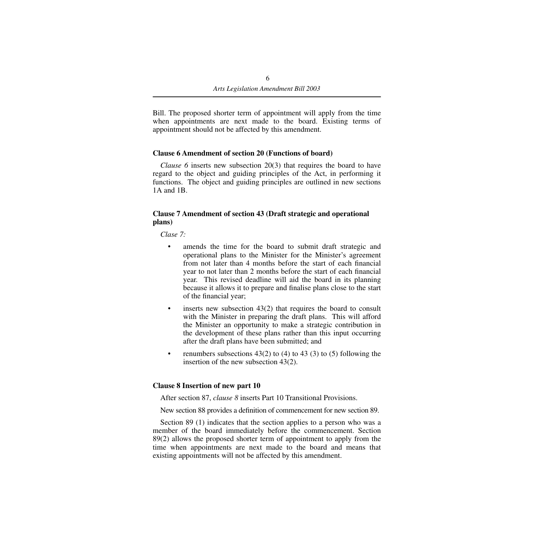Bill. The proposed shorter term of appointment will apply from the time when appointments are next made to the board. Existing terms of appointment should not be affected by this amendment.

### **Clause 6 Amendment of section 20 (Functions of board)**

*Clause 6* inserts new subsection 20(3) that requires the board to have regard to the object and guiding principles of the Act, in performing it functions. The object and guiding principles are outlined in new sections 1A and 1B.

### **Clause 7 Amendment of section 43 (Draft strategic and operational plans)**

*Clase 7:*

- amends the time for the board to submit draft strategic and operational plans to the Minister for the Minister's agreement from not later than 4 months before the start of each financial year to not later than 2 months before the start of each financial year. This revised deadline will aid the board in its planning because it allows it to prepare and finalise plans close to the start of the financial year;
- inserts new subsection 43(2) that requires the board to consult with the Minister in preparing the draft plans. This will afford the Minister an opportunity to make a strategic contribution in the development of these plans rather than this input occurring after the draft plans have been submitted; and
- renumbers subsections  $43(2)$  to  $(4)$  to  $43(3)$  to  $(5)$  following the insertion of the new subsection 43(2).

### **Clause 8 Insertion of new part 10**

After section 87, *clause 8* inserts Part 10 Transitional Provisions.

New section 88 provides a definition of commencement for new section 89.

Section 89 (1) indicates that the section applies to a person who was a member of the board immediately before the commencement. Section 89(2) allows the proposed shorter term of appointment to apply from the time when appointments are next made to the board and means that existing appointments will not be affected by this amendment.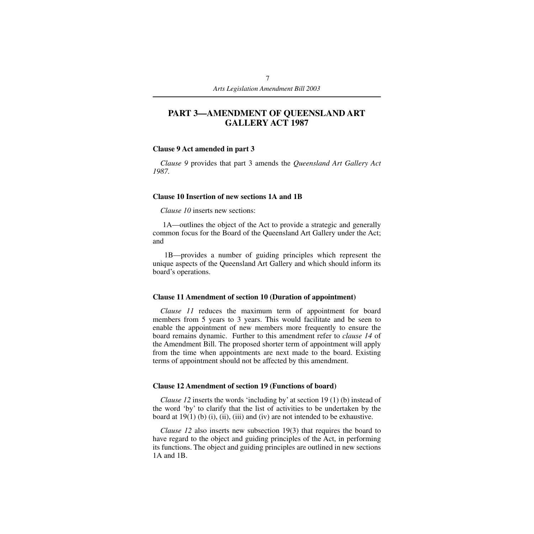# **PART 3—AMENDMENT OF QUEENSLAND ART GALLERY ACT 1987**

#### **Clause 9 Act amended in part 3**

*Clause 9* provides that part 3 amends the *Queensland Art Gallery Act 1987.*

#### **Clause 10 Insertion of new sections 1A and 1B**

*Clause 10* inserts new sections:

 1A—outlines the object of the Act to provide a strategic and generally common focus for the Board of the Queensland Art Gallery under the Act; and

 1B—provides a number of guiding principles which represent the unique aspects of the Queensland Art Gallery and which should inform its board's operations.

### **Clause 11 Amendment of section 10 (Duration of appointment)**

*Clause 11* reduces the maximum term of appointment for board members from 5 years to 3 years. This would facilitate and be seen to enable the appointment of new members more frequently to ensure the board remains dynamic. Further to this amendment refer to *clause 14* of the Amendment Bill. The proposed shorter term of appointment will apply from the time when appointments are next made to the board. Existing terms of appointment should not be affected by this amendment.

#### **Clause 12 Amendment of section 19 (Functions of board)**

*Clause 12* inserts the words 'including by' at section 19 (1) (b) instead of the word 'by' to clarify that the list of activities to be undertaken by the board at  $19(1)$  (b) (i), (ii), (iii) and (iv) are not intended to be exhaustive.

*Clause 12* also inserts new subsection 19(3) that requires the board to have regard to the object and guiding principles of the Act, in performing its functions. The object and guiding principles are outlined in new sections 1A and 1B.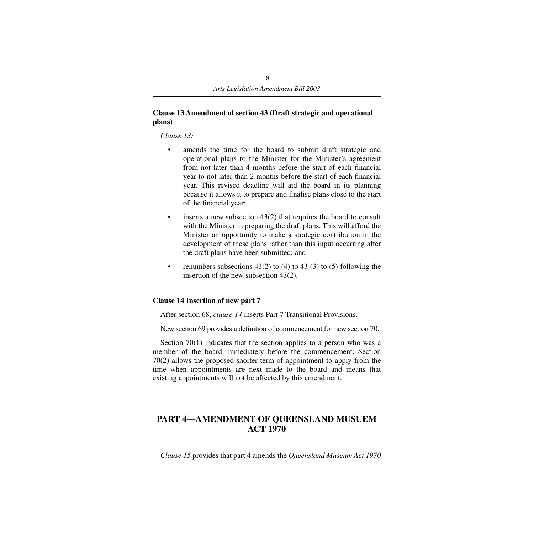### **Clause 13 Amendment of section 43 (Draft strategic and operational plans)**

*Clause 13:*

- amends the time for the board to submit draft strategic and operational plans to the Minister for the Minister's agreement from not later than 4 months before the start of each financial year to not later than 2 months before the start of each financial year. This revised deadline will aid the board in its planning because it allows it to prepare and finalise plans close to the start of the financial year;
- inserts a new subsection  $43(2)$  that requires the board to consult with the Minister in preparing the draft plans. This will afford the Minister an opportunity to make a strategic contribution in the development of these plans rather than this input occurring after the draft plans have been submitted; and
- renumbers subsections  $43(2)$  to  $(4)$  to  $43(3)$  to  $(5)$  following the insertion of the new subsection 43(2).

## **Clause 14 Insertion of new part 7**

After section 68, *clause 14* inserts Part 7 Transitional Provisions.

New section 69 provides a definition of commencement for new section 70.

Section 70(1) indicates that the section applies to a person who was a member of the board immediately before the commencement. Section 70(2) allows the proposed shorter term of appointment to apply from the time when appointments are next made to the board and means that existing appointments will not be affected by this amendment.

# **PART 4—AMENDMENT OF QUEENSLAND MUSUEM ACT 1970**

*Clause 15* provides that part 4 amends the *Queensland Museum Act 1970*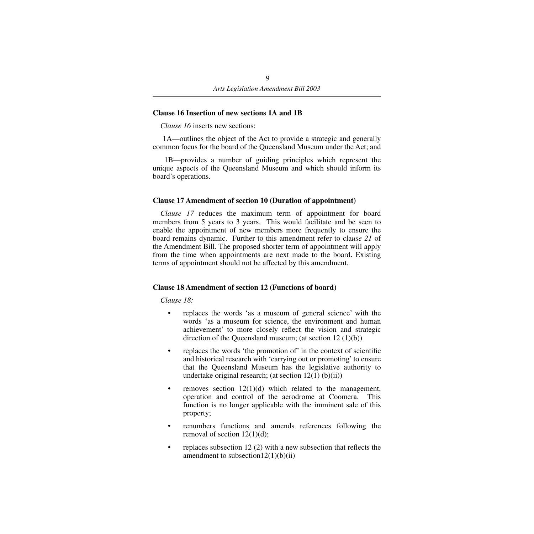### **Clause 16 Insertion of new sections 1A and 1B**

*Clause 16* inserts new sections:

 1A—outlines the object of the Act to provide a strategic and generally common focus for the board of the Queensland Museum under the Act; and

 1B—provides a number of guiding principles which represent the unique aspects of the Queensland Museum and which should inform its board's operations.

### **Clause 17 Amendment of section 10 (Duration of appointment)**

*Clause 17* reduces the maximum term of appointment for board members from 5 years to 3 years.This would facilitate and be seen to enable the appointment of new members more frequently to ensure the board remains dynamic. Further to this amendment refer to cla*use 21* of the Amendment Bill. The proposed shorter term of appointment will apply from the time when appointments are next made to the board. Existing terms of appointment should not be affected by this amendment.

### **Clause 18 Amendment of section 12 (Functions of board)**

*Clause 18:*

- replaces the words 'as a museum of general science' with the words 'as a museum for science, the environment and human achievement' to more closely reflect the vision and strategic direction of the Queensland museum; (at section 12 (1)(b))
- replaces the words 'the promotion of' in the context of scientific and historical research with 'carrying out or promoting' to ensure that the Queensland Museum has the legislative authority to undertake original research; (at section  $12(1)$  (b)(ii))
- removes section  $12(1)(d)$  which related to the management, operation and control of the aerodrome at Coomera. This function is no longer applicable with the imminent sale of this property;
- renumbers functions and amends references following the removal of section  $12(1)(d)$ ;
- replaces subsection 12 (2) with a new subsection that reflects the amendment to subsection  $12(1)(b)(ii)$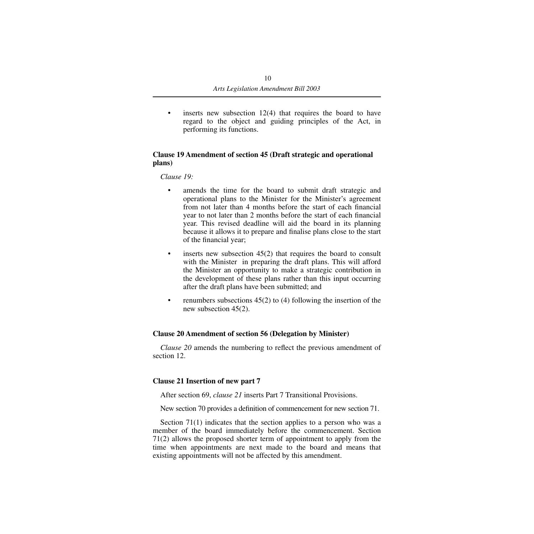• inserts new subsection 12(4) that requires the board to have regard to the object and guiding principles of the Act, in performing its functions.

### **Clause 19 Amendment of section 45 (Draft strategic and operational plans)**

*Clause 19:*

- amends the time for the board to submit draft strategic and operational plans to the Minister for the Minister's agreement from not later than 4 months before the start of each financial year to not later than 2 months before the start of each financial year. This revised deadline will aid the board in its planning because it allows it to prepare and finalise plans close to the start of the financial year;
- inserts new subsection 45(2) that requires the board to consult with the Minister in preparing the draft plans. This will afford the Minister an opportunity to make a strategic contribution in the development of these plans rather than this input occurring after the draft plans have been submitted; and
- renumbers subsections  $45(2)$  to (4) following the insertion of the new subsection 45(2).

### **Clause 20 Amendment of section 56 (Delegation by Minister)**

*Clause 20* amends the numbering to reflect the previous amendment of section 12.

### **Clause 21 Insertion of new part 7**

After section 69, *clause 21* inserts Part 7 Transitional Provisions.

New section 70 provides a definition of commencement for new section 71.

Section 71(1) indicates that the section applies to a person who was a member of the board immediately before the commencement. Section 71(2) allows the proposed shorter term of appointment to apply from the time when appointments are next made to the board and means that existing appointments will not be affected by this amendment.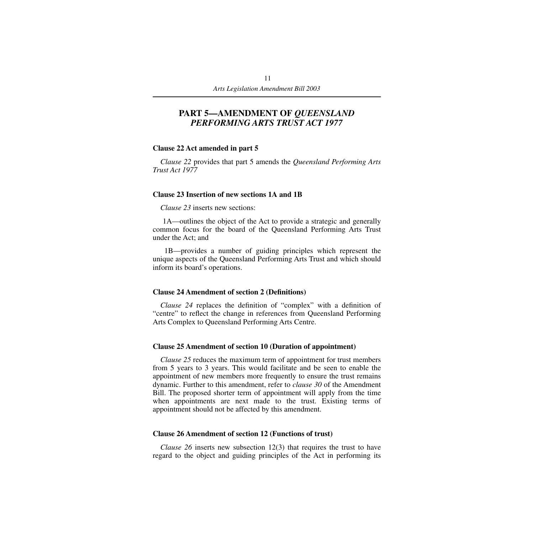## **PART 5—AMENDMENT OF** *QUEENSLAND PERFORMING ARTS TRUST ACT 1977*

#### **Clause 22 Act amended in part 5**

*Clause 22* provides that part 5 amends the *Queensland Performing Arts Trust Act 1977*

#### **Clause 23 Insertion of new sections 1A and 1B**

*Clause 23* inserts new sections:

 1A—outlines the object of the Act to provide a strategic and generally common focus for the board of the Queensland Performing Arts Trust under the Act; and

 1B—provides a number of guiding principles which represent the unique aspects of the Queensland Performing Arts Trust and which should inform its board's operations.

#### **Clause 24 Amendment of section 2 (Definitions)**

*Clause 24* replaces the definition of "complex" with a definition of "centre" to reflect the change in references from Queensland Performing Arts Complex to Queensland Performing Arts Centre.

#### **Clause 25 Amendment of section 10 (Duration of appointment)**

*Clause 25* reduces the maximum term of appointment for trust members from 5 years to 3 years. This would facilitate and be seen to enable the appointment of new members more frequently to ensure the trust remains dynamic. Further to this amendment, refer to *clause 30* of the Amendment Bill. The proposed shorter term of appointment will apply from the time when appointments are next made to the trust. Existing terms of appointment should not be affected by this amendment.

#### **Clause 26 Amendment of section 12 (Functions of trust)**

*Clause 26* inserts new subsection 12(3) that requires the trust to have regard to the object and guiding principles of the Act in performing its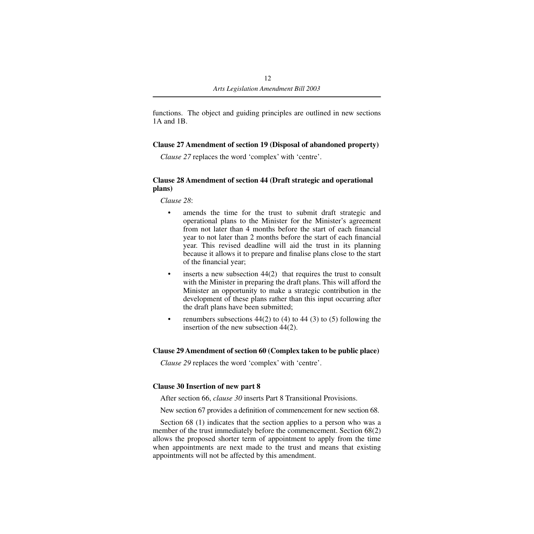functions. The object and guiding principles are outlined in new sections 1A and 1B.

### **Clause 27 Amendment of section 19 (Disposal of abandoned property)**

*Clause 27* replaces the word 'complex' with 'centre'.

### **Clause 28 Amendment of section 44 (Draft strategic and operational plans)**

*Clause 28*:

- amends the time for the trust to submit draft strategic and operational plans to the Minister for the Minister's agreement from not later than 4 months before the start of each financial year to not later than 2 months before the start of each financial year. This revised deadline will aid the trust in its planning because it allows it to prepare and finalise plans close to the start of the financial year;
- inserts a new subsection 44(2) that requires the trust to consult with the Minister in preparing the draft plans. This will afford the Minister an opportunity to make a strategic contribution in the development of these plans rather than this input occurring after the draft plans have been submitted;
- renumbers subsections  $44(2)$  to  $(4)$  to  $44(3)$  to  $(5)$  following the insertion of the new subsection 44(2).

### **Clause 29 Amendment of section 60 (Complex taken to be public place)**

*Clause 29* replaces the word 'complex' with 'centre'.

### **Clause 30 Insertion of new part 8**

After section 66, *clause 30* inserts Part 8 Transitional Provisions.

New section 67 provides a definition of commencement for new section 68.

Section 68 (1) indicates that the section applies to a person who was a member of the trust immediately before the commencement. Section 68(2) allows the proposed shorter term of appointment to apply from the time when appointments are next made to the trust and means that existing appointments will not be affected by this amendment.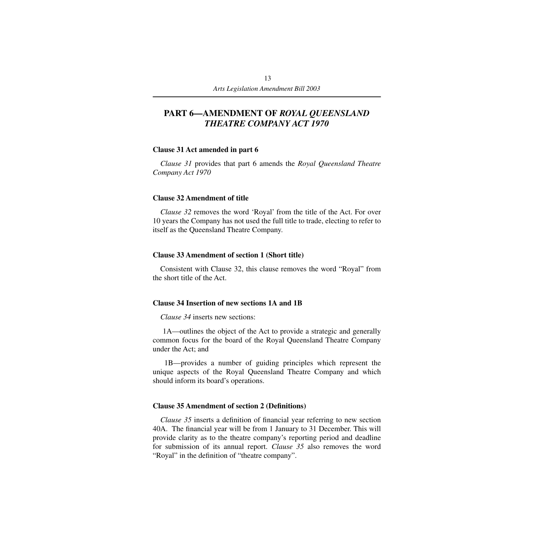# **PART 6—AMENDMENT OF** *ROYAL QUEENSLAND THEATRE COMPANY ACT 1970*

#### **Clause 31 Act amended in part 6**

*Clause 31* provides that part 6 amends the *Royal Queensland Theatre Company Act 1970*

#### **Clause 32 Amendment of title**

*Clause 32* removes the word 'Royal' from the title of the Act. For over 10 years the Company has not used the full title to trade, electing to refer to itself as the Queensland Theatre Company.

#### **Clause 33 Amendment of section 1 (Short title)**

Consistent with Clause 32, this clause removes the word "Royal" from the short title of the Act.

#### **Clause 34 Insertion of new sections 1A and 1B**

*Clause 34* inserts new sections:

 1A—outlines the object of the Act to provide a strategic and generally common focus for the board of the Royal Queensland Theatre Company under the Act; and

 1B—provides a number of guiding principles which represent the unique aspects of the Royal Queensland Theatre Company and which should inform its board's operations.

#### **Clause 35 Amendment of section 2 (Definitions)**

*Clause 35* inserts a definition of financial year referring to new section 40A. The financial year will be from 1 January to 31 December. This will provide clarity as to the theatre company's reporting period and deadline for submission of its annual report. *Clause 35* also removes the word "Royal" in the definition of "theatre company".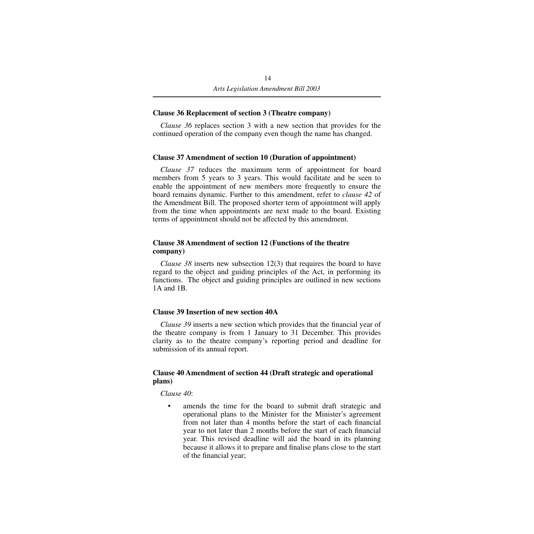### **Clause 36 Replacement of section 3 (Theatre company)**

*Clause 36* replaces section 3 with a new section that provides for the continued operation of the company even though the name has changed.

### **Clause 37 Amendment of section 10 (Duration of appointment)**

*Clause 37* reduces the maximum term of appointment for board members from 5 years to 3 years. This would facilitate and be seen to enable the appointment of new members more frequently to ensure the board remains dynamic. Further to this amendment, refer to *clause 42* of the Amendment Bill. The proposed shorter term of appointment will apply from the time when appointments are next made to the board. Existing terms of appointment should not be affected by this amendment.

### **Clause 38 Amendment of section 12 (Functions of the theatre company)**

*Clause 38* inserts new subsection 12(3) that requires the board to have regard to the object and guiding principles of the Act, in performing its functions. The object and guiding principles are outlined in new sections 1A and 1B.

### **Clause 39 Insertion of new section 40A**

*Clause 39* inserts a new section which provides that the financial year of the theatre company is from 1 January to 31 December. This provides clarity as to the theatre company's reporting period and deadline for submission of its annual report.

### **Clause 40 Amendment of section 44 (Draft strategic and operational plans)**

*Clause 40*:

amends the time for the board to submit draft strategic and operational plans to the Minister for the Minister's agreement from not later than 4 months before the start of each financial year to not later than 2 months before the start of each financial year. This revised deadline will aid the board in its planning because it allows it to prepare and finalise plans close to the start of the financial year;